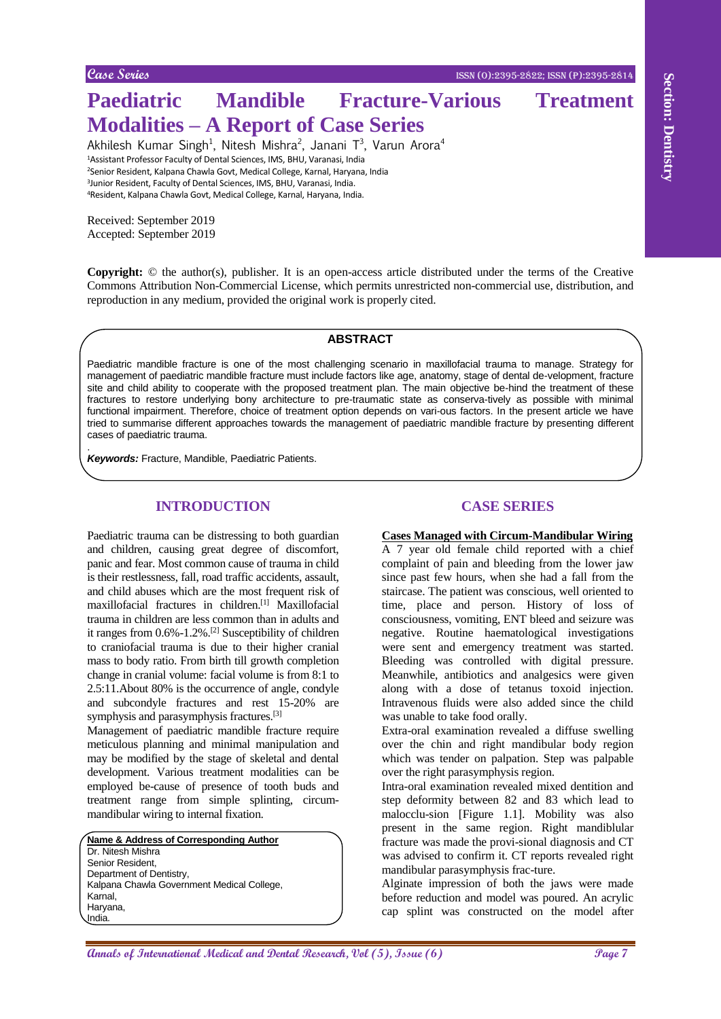.

# **Paediatric Mandible Fracture-Various Treatment Modalities – A Report of Case Series**

Akhilesh Kumar Singh<sup>1</sup>, Nitesh Mishra<sup>2</sup>, Janani T<sup>3</sup>, Varun Arora<sup>4</sup> Assistant Professor Faculty of Dental Sciences, IMS, BHU, Varanasi, India Senior Resident, Kalpana Chawla Govt, Medical College, Karnal, Haryana, India Junior Resident, Faculty of Dental Sciences, IMS, BHU, Varanasi, India. Resident, Kalpana Chawla Govt, Medical College, Karnal, Haryana, India.

Received: September 2019 Accepted: September 2019

**Copyright:** © the author(s), publisher. It is an open-access article distributed under the terms of the Creative Commons Attribution Non-Commercial License, which permits unrestricted non-commercial use, distribution, and reproduction in any medium, provided the original work is properly cited.

## **ABSTRACT**

Paediatric mandible fracture is one of the most challenging scenario in maxillofacial trauma to manage. Strategy for management of paediatric mandible fracture must include factors like age, anatomy, stage of dental de-velopment, fracture site and child ability to cooperate with the proposed treatment plan. The main objective be-hind the treatment of these fractures to restore underlying bony architecture to pre-traumatic state as conserva-tively as possible with minimal functional impairment. Therefore, choice of treatment option depends on vari-ous factors. In the present article we have tried to summarise different approaches towards the management of paediatric mandible fracture by presenting different cases of paediatric trauma.

*Keywords:* Fracture, Mandible, Paediatric Patients.

## **INTRODUCTION**

**And California Case of Control Case Section 2**<br> **And California Ann and Case Section 2**<br> **Annals Section 3 (The Control Case Section 2**)<br> **Annals Section 3 (The Control Case Section 2**)<br> **Annals Section 3 (The Control Cas** Paediatric trauma can be distressing to both guardian and children, causing great degree of discomfort, panic and fear. Most common cause of trauma in child is their restlessness, fall, road traffic accidents, assault, and child abuses which are the most frequent risk of maxillofacial fractures in children.[1] Maxillofacial trauma in children are less common than in adults and it ranges from 0.6%-1.2%.[2] Susceptibility of children to craniofacial trauma is due to their higher cranial mass to body ratio. From birth till growth completion change in cranial volume: facial volume is from 8:1 to 2.5:11.About 80% is the occurrence of angle, condyle and subcondyle fractures and rest 15-20% are symphysis and parasymphysis fractures.<sup>[3]</sup>

Management of paediatric mandible fracture require meticulous planning and minimal manipulation and may be modified by the stage of skeletal and dental development. Various treatment modalities can be employed be-cause of presence of tooth buds and treatment range from simple splinting, circummandibular wiring to internal fixation.

**Name & Address of Corresponding Author** Dr. Nitesh Mishra Senior Resident, Department of Dentistry, Kalpana Chawla Government Medical College, Karnal, Haryana, India.

## **CASE SERIES**

**Cases Managed with Circum-Mandibular Wiring**

A 7 year old female child reported with a chief complaint of pain and bleeding from the lower jaw since past few hours, when she had a fall from the staircase. The patient was conscious, well oriented to time, place and person. History of loss of consciousness, vomiting, ENT bleed and seizure was negative. Routine haematological investigations were sent and emergency treatment was started. Bleeding was controlled with digital pressure. Meanwhile, antibiotics and analgesics were given along with a dose of tetanus toxoid injection. Intravenous fluids were also added since the child was unable to take food orally.

Extra-oral examination revealed a diffuse swelling over the chin and right mandibular body region which was tender on palpation. Step was palpable over the right parasymphysis region.

Intra-oral examination revealed mixed dentition and step deformity between 82 and 83 which lead to malocclu-sion [Figure 1.1]. Mobility was also present in the same region. Right mandiblular fracture was made the provi-sional diagnosis and CT was advised to confirm it. CT reports revealed right mandibular parasymphysis frac-ture.

Alginate impression of both the jaws were made before reduction and model was poured. An acrylic cap splint was constructed on the model after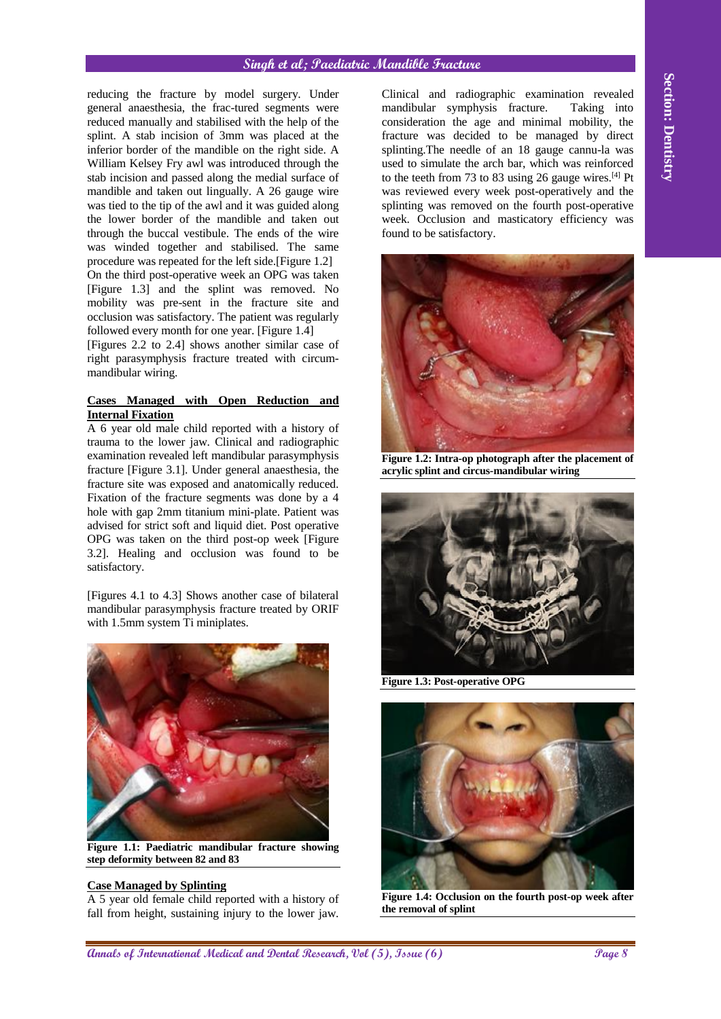## **Singh et al; Paediatric Mandible Fracture**

**Annihite die international Medical and Dental Annals of International Medical and Dental Annals of Dental Annals (Section 2002) and Dental Annals of Dental Annals (Section 2003) and Dental Persistents and Dental Berlin C** reducing the fracture by model surgery. Under general anaesthesia, the frac-tured segments were reduced manually and stabilised with the help of the splint. A stab incision of 3mm was placed at the inferior border of the mandible on the right side. A William Kelsey Fry awl was introduced through the stab incision and passed along the medial surface of mandible and taken out lingually. A 26 gauge wire was tied to the tip of the awl and it was guided along the lower border of the mandible and taken out through the buccal vestibule. The ends of the wire was winded together and stabilised. The same procedure was repeated for the left side.[Figure 1.2] On the third post-operative week an OPG was taken [Figure 1.3] and the splint was removed. No mobility was pre-sent in the fracture site and occlusion was satisfactory. The patient was regularly followed every month for one year. [Figure 1.4] [Figures 2.2 to 2.4] shows another similar case of

right parasymphysis fracture treated with circummandibular wiring.

### **Cases Managed with Open Reduction and Internal Fixation**

A 6 year old male child reported with a history of trauma to the lower jaw. Clinical and radiographic examination revealed left mandibular parasymphysis fracture [Figure 3.1]. Under general anaesthesia, the fracture site was exposed and anatomically reduced. Fixation of the fracture segments was done by a 4 hole with gap 2mm titanium mini-plate. Patient was advised for strict soft and liquid diet. Post operative OPG was taken on the third post-op week [Figure 3.2]. Healing and occlusion was found to be satisfactory.

[Figures 4.1 to 4.3] Shows another case of bilateral mandibular parasymphysis fracture treated by ORIF with 1.5mm system Ti miniplates.



**Figure 1.1: Paediatric mandibular fracture showing step deformity between 82 and 83**

## **Case Managed by Splinting**

A 5 year old female child reported with a history of fall from height, sustaining injury to the lower jaw.

Clinical and radiographic examination revealed mandibular symphysis fracture. Taking into consideration the age and minimal mobility, the fracture was decided to be managed by direct splinting.The needle of an 18 gauge cannu-la was used to simulate the arch bar, which was reinforced to the teeth from 73 to 83 using 26 gauge wires. $[4]$  Pt was reviewed every week post-operatively and the splinting was removed on the fourth post-operative week. Occlusion and masticatory efficiency was found to be satisfactory.



**Figure 1.2: Intra-op photograph after the placement of acrylic splint and circus-mandibular wiring**



**Figure 1.3: Post-operative OPG**



**Figure 1.4: Occlusion on the fourth post-op week after the removal of splint**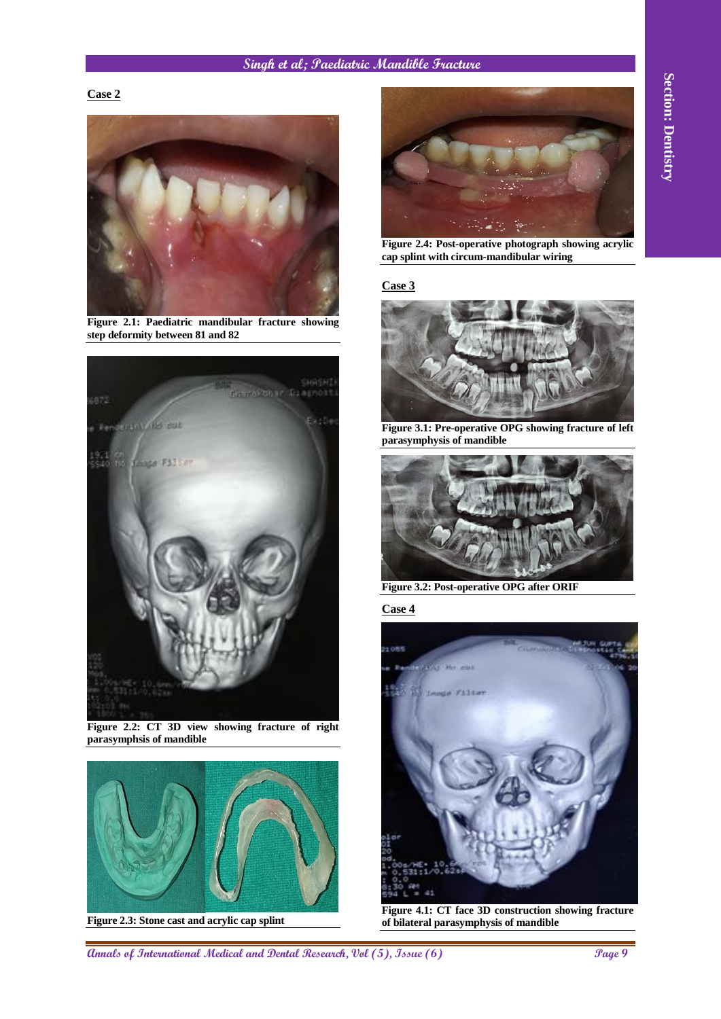## **Singh et al; Paediatric Mandible Fracture**

## **Case 2**



**Figure 2.1: Paediatric mandibular fracture showing step deformity between 81 and 82**



**Figure 2.2: CT 3D view showing fracture of right parasymphsis of mandible**



**Figure 2.3: Stone cast and acrylic cap splint**



**Figure 2.4: Post-operative photograph showing acrylic cap splint with circum-mandibular wiring**

### **Case 3**



**Figure 3.1: Pre-operative OPG showing fracture of left parasymphysis of mandible**



**Figure 3.2: Post-operative OPG after ORIF**

**Case 4**



**Figure 4.1: CT face 3D construction showing fracture of bilateral parasymphysis of mandible**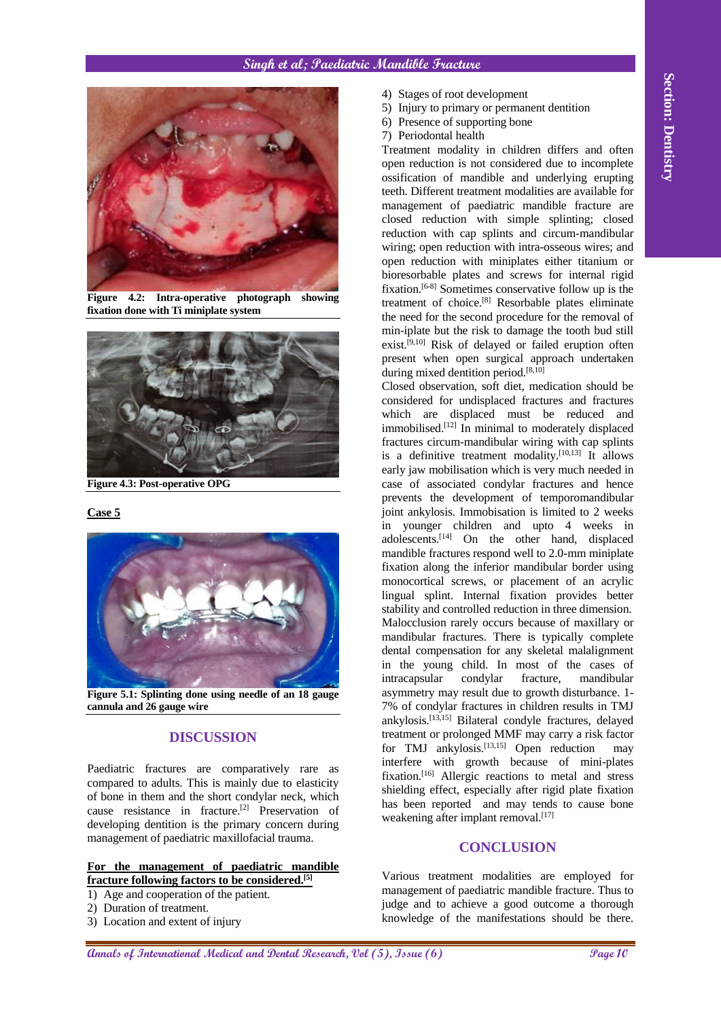

**Figure 4.2: Intra-operative photograph showing fixation done with Ti miniplate system**



**Figure 4.3: Post-operative OPG**

## **Case 5**



**Figure 5.1: Splinting done using needle of an 18 gauge cannula and 26 gauge wire**

## **DISCUSSION**

Paediatric fractures are comparatively rare as compared to adults. This is mainly due to elasticity of bone in them and the short condylar neck, which cause resistance in fracture.[2] Preservation of developing dentition is the primary concern during management of paediatric maxillofacial trauma.

## **For the management of paediatric mandible fracture following factors to be considered.[5]**

- 1) Age and cooperation of the patient.
- 2) Duration of treatment.
- 3) Location and extent of injury
- 4) Stages of root development
- 5) Injury to primary or permanent dentition
- 6) Presence of supporting bone
- 7) Periodontal health

Treatment modality in children differs and often open reduction is not considered due to incomplete ossification of mandible and underlying erupting teeth. Different treatment modalities are available for management of paediatric mandible fracture are closed reduction with simple splinting; closed reduction with cap splints and circum-mandibular wiring; open reduction with intra-osseous wires; and open reduction with miniplates either titanium or bioresorbable plates and screws for internal rigid fixation.[6-8] Sometimes conservative follow up is the treatment of choice.<sup>[8]</sup> Resorbable plates eliminate the need for the second procedure for the removal of min-iplate but the risk to damage the tooth bud still exist.<sup>[9,10]</sup> Risk of delayed or failed eruption often present when open surgical approach undertaken during mixed dentition period. $^{[8,10]}$ 

Annals of International Medical and Dental and Dental Research, Constitutional Medical and Dental Research, Constitutional Medical Annals of International Medical Annals of International Medical Annals of International Me Closed observation, soft diet, medication should be considered for undisplaced fractures and fractures which are displaced must be reduced and immobilised.[12] In minimal to moderately displaced fractures circum-mandibular wiring with cap splints is a definitive treatment modality.  $[10,13]$  It allows early jaw mobilisation which is very much needed in case of associated condylar fractures and hence prevents the development of temporomandibular joint ankylosis. Immobisation is limited to 2 weeks in younger children and upto 4 weeks in adolescents.[14] On the other hand, displaced mandible fractures respond well to 2.0-mm miniplate fixation along the inferior mandibular border using monocortical screws, or placement of an acrylic lingual splint. Internal fixation provides better stability and controlled reduction in three dimension. Malocclusion rarely occurs because of maxillary or mandibular fractures. There is typically complete dental compensation for any skeletal malalignment in the young child. In most of the cases of intracapsular condylar fracture, mandibular asymmetry may result due to growth disturbance. 1- 7% of condylar fractures in children results in TMJ ankylosis.[13,15] Bilateral condyle fractures, delayed treatment or prolonged MMF may carry a risk factor for TMJ ankylosis.<sup>[13,15]</sup> Open reduction may interfere with growth because of mini-plates fixation.<sup>[16]</sup> Allergic reactions to metal and stress shielding effect, especially after rigid plate fixation has been reported and may tends to cause bone weakening after implant removal.<sup>[17]</sup>

## **CONCLUSION**

Various treatment modalities are employed for management of paediatric mandible fracture. Thus to judge and to achieve a good outcome a thorough knowledge of the manifestations should be there.